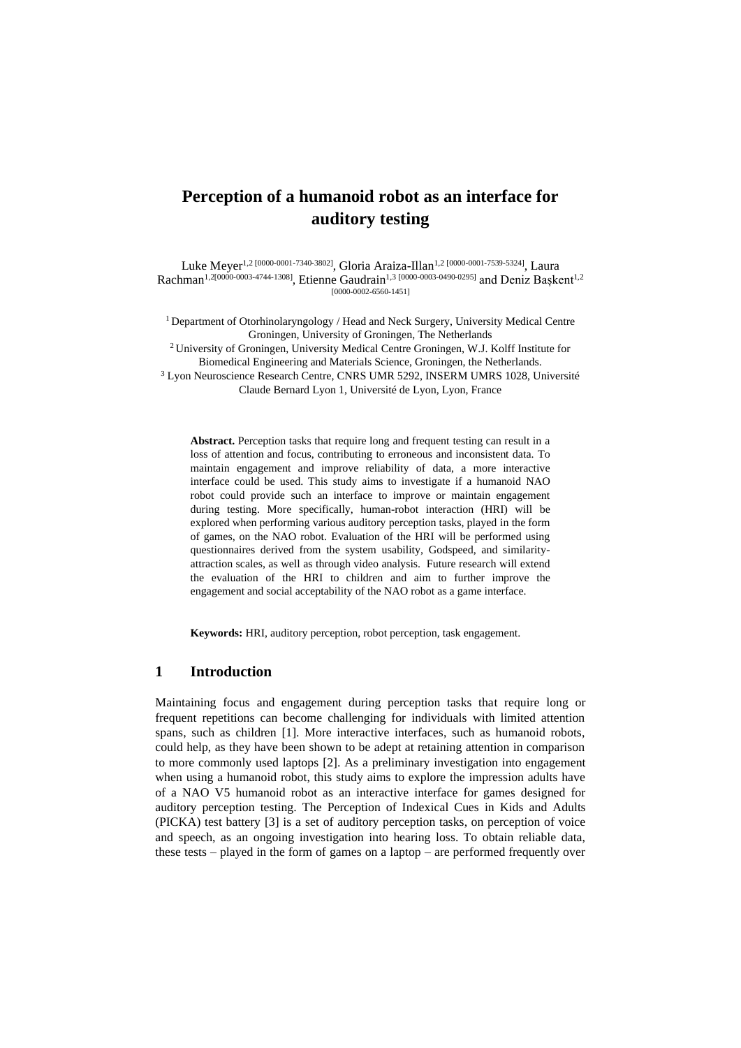# **Perception of a humanoid robot as an interface for auditory testing**

Luke Meyer1,2 [0000-0001-7340-3802], Gloria Araiza-Illan1,2 [0000-0001-7539-5324], Laura Rachman<sup>1,2[0000-0003-4744-1308]</sup>, Etienne Gaudrain<sup>1,3 [0000-0003-0490-0295]</sup> and Deniz Bașkent<sup>1,2</sup> [0000-0002-6560-1451]

<sup>1</sup> Department of Otorhinolaryngology / Head and Neck Surgery, University Medical Centre Groningen, University of Groningen, The Netherlands <sup>2</sup>University of Groningen, University Medical Centre Groningen, W.J. Kolff Institute for Biomedical Engineering and Materials Science, Groningen, the Netherlands. <sup>3</sup> Lyon Neuroscience Research Centre, CNRS UMR 5292, INSERM UMRS 1028, Université Claude Bernard Lyon 1, Université de Lyon, Lyon, France

**Abstract.** Perception tasks that require long and frequent testing can result in a loss of attention and focus, contributing to erroneous and inconsistent data. To maintain engagement and improve reliability of data, a more interactive interface could be used. This study aims to investigate if a humanoid NAO robot could provide such an interface to improve or maintain engagement during testing. More specifically, human-robot interaction (HRI) will be explored when performing various auditory perception tasks, played in the form of games, on the NAO robot. Evaluation of the HRI will be performed using questionnaires derived from the system usability, Godspeed, and similarityattraction scales, as well as through video analysis. Future research will extend the evaluation of the HRI to children and aim to further improve the engagement and social acceptability of the NAO robot as a game interface.

**Keywords:** HRI, auditory perception, robot perception, task engagement.

# **1 Introduction**

Maintaining focus and engagement during perception tasks that require long or frequent repetitions can become challenging for individuals with limited attention spans, such as children [1]. More interactive interfaces, such as humanoid robots, could help, as they have been shown to be adept at retaining attention in comparison to more commonly used laptops [2]. As a preliminary investigation into engagement when using a humanoid robot, this study aims to explore the impression adults have of a NAO V5 humanoid robot as an interactive interface for games designed for auditory perception testing. The Perception of Indexical Cues in Kids and Adults (PICKA) test battery [3] is a set of auditory perception tasks, on perception of voice and speech, as an ongoing investigation into hearing loss. To obtain reliable data, these tests – played in the form of games on a laptop – are performed frequently over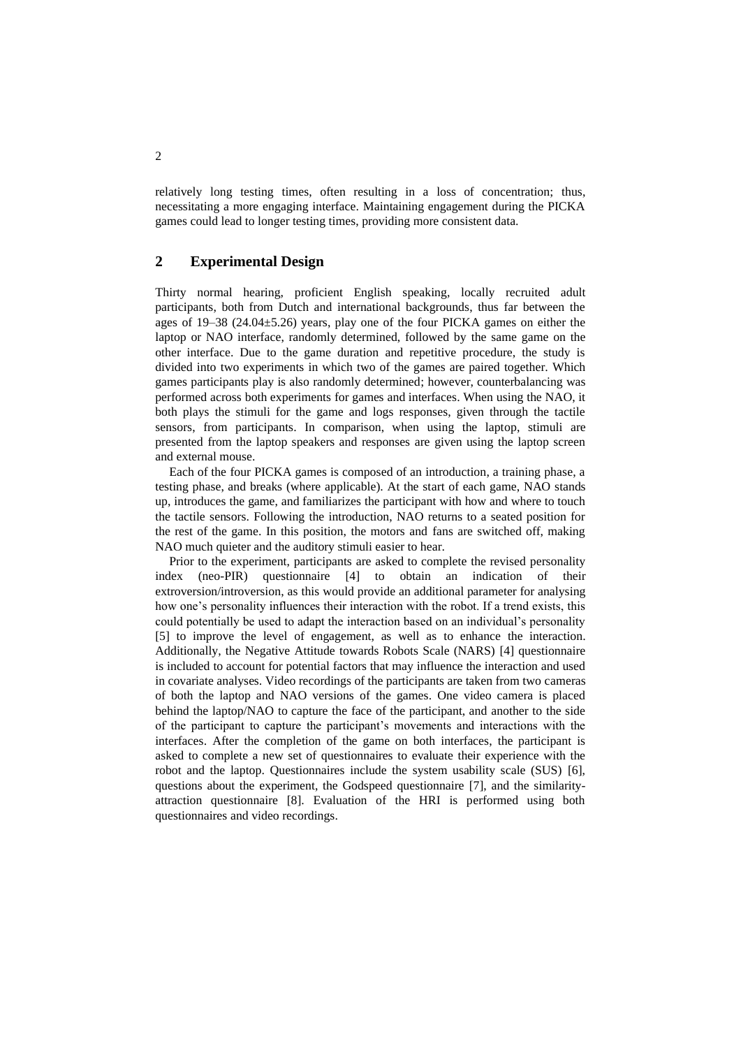relatively long testing times, often resulting in a loss of concentration; thus, necessitating a more engaging interface. Maintaining engagement during the PICKA games could lead to longer testing times, providing more consistent data.

# **2 Experimental Design**

Thirty normal hearing, proficient English speaking, locally recruited adult participants, both from Dutch and international backgrounds, thus far between the ages of 19–38 (24.04±5.26) years, play one of the four PICKA games on either the laptop or NAO interface, randomly determined, followed by the same game on the other interface. Due to the game duration and repetitive procedure, the study is divided into two experiments in which two of the games are paired together. Which games participants play is also randomly determined; however, counterbalancing was performed across both experiments for games and interfaces. When using the NAO, it both plays the stimuli for the game and logs responses, given through the tactile sensors, from participants. In comparison, when using the laptop, stimuli are presented from the laptop speakers and responses are given using the laptop screen and external mouse.

Each of the four PICKA games is composed of an introduction, a training phase, a testing phase, and breaks (where applicable). At the start of each game, NAO stands up, introduces the game, and familiarizes the participant with how and where to touch the tactile sensors. Following the introduction, NAO returns to a seated position for the rest of the game. In this position, the motors and fans are switched off, making NAO much quieter and the auditory stimuli easier to hear.

Prior to the experiment, participants are asked to complete the revised personality index (neo-PIR) questionnaire [4] to obtain an indication of their extroversion/introversion, as this would provide an additional parameter for analysing how one's personality influences their interaction with the robot. If a trend exists, this could potentially be used to adapt the interaction based on an individual's personality [5] to improve the level of engagement, as well as to enhance the interaction. Additionally, the Negative Attitude towards Robots Scale (NARS) [4] questionnaire is included to account for potential factors that may influence the interaction and used in covariate analyses. Video recordings of the participants are taken from two cameras of both the laptop and NAO versions of the games. One video camera is placed behind the laptop/NAO to capture the face of the participant, and another to the side of the participant to capture the participant's movements and interactions with the interfaces. After the completion of the game on both interfaces, the participant is asked to complete a new set of questionnaires to evaluate their experience with the robot and the laptop. Questionnaires include the system usability scale (SUS) [6], questions about the experiment, the Godspeed questionnaire [7], and the similarityattraction questionnaire [8]. Evaluation of the HRI is performed using both questionnaires and video recordings.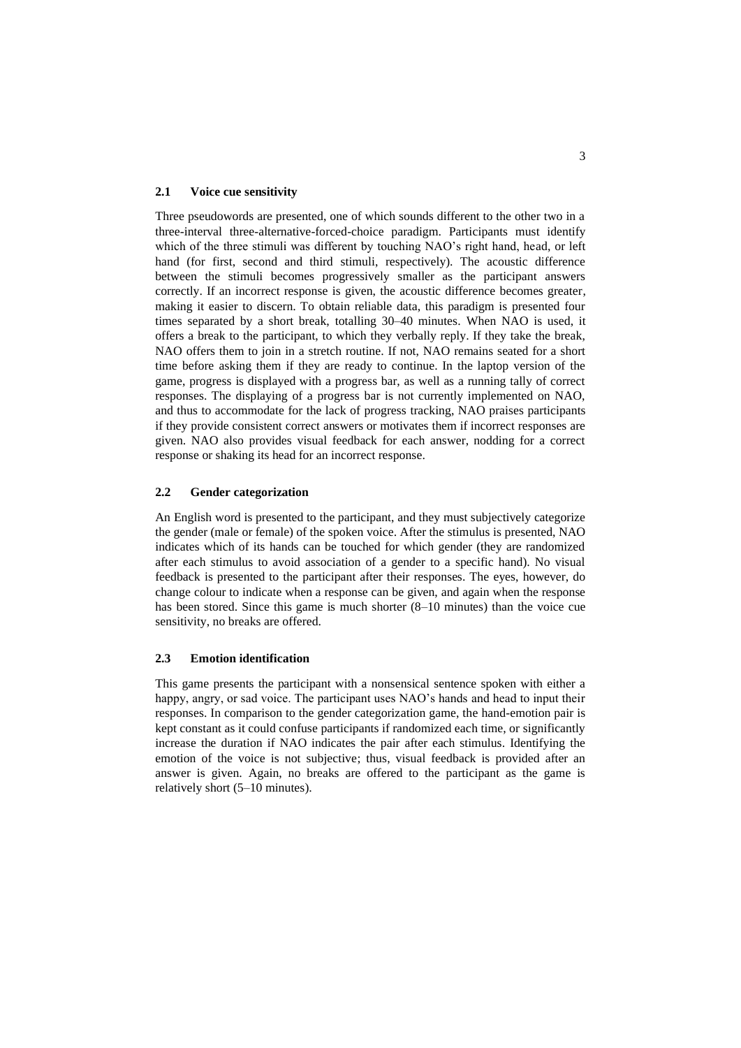## **2.1 Voice cue sensitivity**

Three pseudowords are presented, one of which sounds different to the other two in a three-interval three-alternative-forced-choice paradigm. Participants must identify which of the three stimuli was different by touching NAO's right hand, head, or left hand (for first, second and third stimuli, respectively). The acoustic difference between the stimuli becomes progressively smaller as the participant answers correctly. If an incorrect response is given, the acoustic difference becomes greater, making it easier to discern. To obtain reliable data, this paradigm is presented four times separated by a short break, totalling 30–40 minutes. When NAO is used, it offers a break to the participant, to which they verbally reply. If they take the break, NAO offers them to join in a stretch routine. If not, NAO remains seated for a short time before asking them if they are ready to continue. In the laptop version of the game, progress is displayed with a progress bar, as well as a running tally of correct responses. The displaying of a progress bar is not currently implemented on NAO, and thus to accommodate for the lack of progress tracking, NAO praises participants if they provide consistent correct answers or motivates them if incorrect responses are given. NAO also provides visual feedback for each answer, nodding for a correct response or shaking its head for an incorrect response.

## **2.2 Gender categorization**

An English word is presented to the participant, and they must subjectively categorize the gender (male or female) of the spoken voice. After the stimulus is presented, NAO indicates which of its hands can be touched for which gender (they are randomized after each stimulus to avoid association of a gender to a specific hand). No visual feedback is presented to the participant after their responses. The eyes, however, do change colour to indicate when a response can be given, and again when the response has been stored. Since this game is much shorter (8–10 minutes) than the voice cue sensitivity, no breaks are offered.

#### **2.3 Emotion identification**

This game presents the participant with a nonsensical sentence spoken with either a happy, angry, or sad voice. The participant uses NAO's hands and head to input their responses. In comparison to the gender categorization game, the hand-emotion pair is kept constant as it could confuse participants if randomized each time, or significantly increase the duration if NAO indicates the pair after each stimulus. Identifying the emotion of the voice is not subjective; thus, visual feedback is provided after an answer is given. Again, no breaks are offered to the participant as the game is relatively short (5–10 minutes).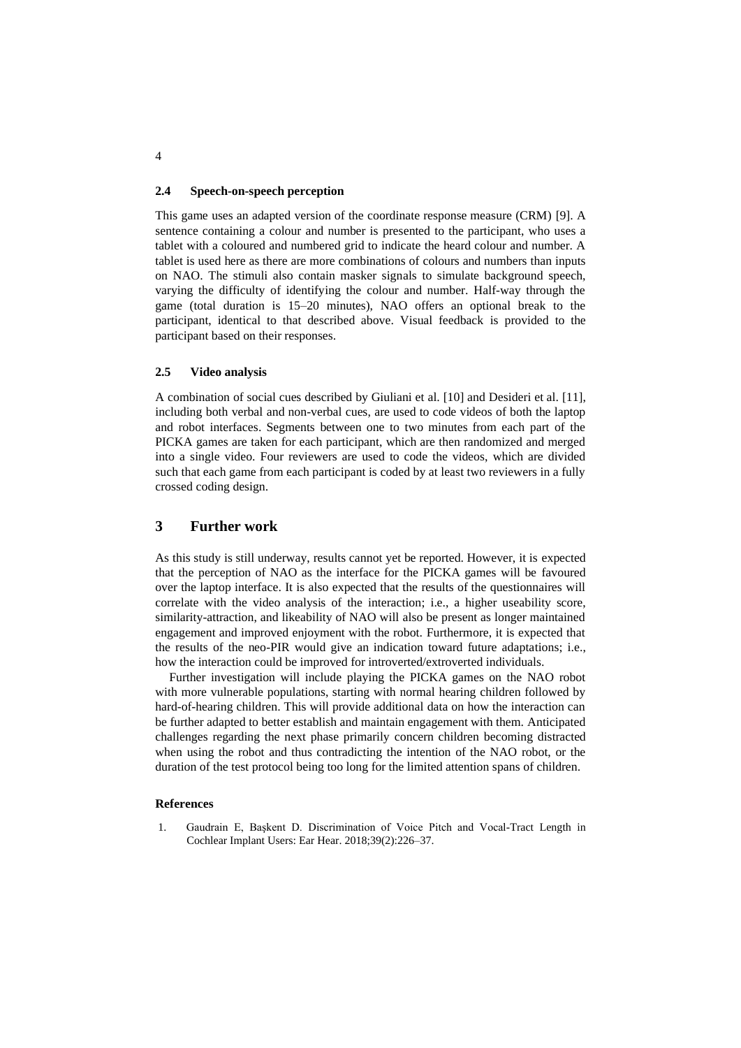#### **2.4 Speech-on-speech perception**

This game uses an adapted version of the coordinate response measure (CRM) [9]. A sentence containing a colour and number is presented to the participant, who uses a tablet with a coloured and numbered grid to indicate the heard colour and number. A tablet is used here as there are more combinations of colours and numbers than inputs on NAO. The stimuli also contain masker signals to simulate background speech, varying the difficulty of identifying the colour and number. Half-way through the game (total duration is 15–20 minutes), NAO offers an optional break to the participant, identical to that described above. Visual feedback is provided to the participant based on their responses.

## **2.5 Video analysis**

A combination of social cues described by Giuliani et al. [10] and Desideri et al. [11], including both verbal and non-verbal cues, are used to code videos of both the laptop and robot interfaces. Segments between one to two minutes from each part of the PICKA games are taken for each participant, which are then randomized and merged into a single video. Four reviewers are used to code the videos, which are divided such that each game from each participant is coded by at least two reviewers in a fully crossed coding design.

# **3 Further work**

As this study is still underway, results cannot yet be reported. However, it is expected that the perception of NAO as the interface for the PICKA games will be favoured over the laptop interface. It is also expected that the results of the questionnaires will correlate with the video analysis of the interaction; i.e., a higher useability score, similarity-attraction, and likeability of NAO will also be present as longer maintained engagement and improved enjoyment with the robot. Furthermore, it is expected that the results of the neo-PIR would give an indication toward future adaptations; i.e., how the interaction could be improved for introverted/extroverted individuals.

Further investigation will include playing the PICKA games on the NAO robot with more vulnerable populations, starting with normal hearing children followed by hard-of-hearing children. This will provide additional data on how the interaction can be further adapted to better establish and maintain engagement with them. Anticipated challenges regarding the next phase primarily concern children becoming distracted when using the robot and thus contradicting the intention of the NAO robot, or the duration of the test protocol being too long for the limited attention spans of children.

## **References**

1. Gaudrain E, Başkent D. Discrimination of Voice Pitch and Vocal-Tract Length in Cochlear Implant Users: Ear Hear. 2018;39(2):226–37.

4